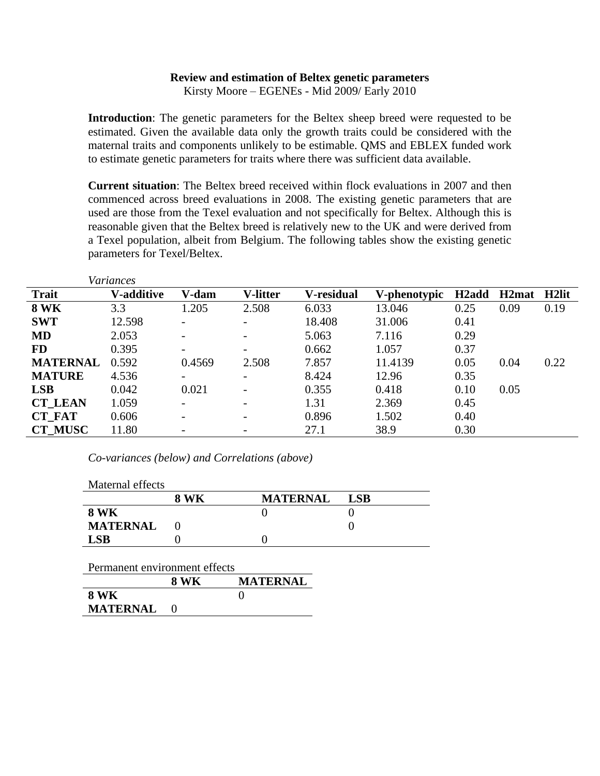## **Review and estimation of Beltex genetic parameters**

Kirsty Moore – EGENEs - Mid 2009/ Early 2010

**Introduction**: The genetic parameters for the Beltex sheep breed were requested to be estimated. Given the available data only the growth traits could be considered with the maternal traits and components unlikely to be estimable. QMS and EBLEX funded work to estimate genetic parameters for traits where there was sufficient data available.

**Current situation**: The Beltex breed received within flock evaluations in 2007 and then commenced across breed evaluations in 2008. The existing genetic parameters that are used are those from the Texel evaluation and not specifically for Beltex. Although this is reasonable given that the Beltex breed is relatively new to the UK and were derived from a Texel population, albeit from Belgium. The following tables show the existing genetic parameters for Texel/Beltex.

|                 | variances          |                          |                          |            |              |                    |             |      |
|-----------------|--------------------|--------------------------|--------------------------|------------|--------------|--------------------|-------------|------|
| <b>Trait</b>    | <b>V</b> -additive | V-dam                    | <b>V-litter</b>          | V-residual | V-phenotypic | H <sub>2</sub> add | H2mat H2lit |      |
| <b>8 WK</b>     | 3.3                | 1.205                    | 2.508                    | 6.033      | 13.046       | 0.25               | 0.09        | 0.19 |
| <b>SWT</b>      | 12.598             |                          |                          | 18.408     | 31.006       | 0.41               |             |      |
| <b>MD</b>       | 2.053              | $\overline{\phantom{a}}$ | $\overline{\phantom{a}}$ | 5.063      | 7.116        | 0.29               |             |      |
| <b>FD</b>       | 0.395              | $\overline{\phantom{a}}$ | $\overline{\phantom{0}}$ | 0.662      | 1.057        | 0.37               |             |      |
| <b>MATERNAL</b> | 0.592              | 0.4569                   | 2.508                    | 7.857      | 11.4139      | 0.05               | 0.04        | 0.22 |
| <b>MATURE</b>   | 4.536              |                          | $\overline{\phantom{0}}$ | 8.424      | 12.96        | 0.35               |             |      |
| <b>LSB</b>      | 0.042              | 0.021                    |                          | 0.355      | 0.418        | 0.10               | 0.05        |      |
| <b>CT LEAN</b>  | 1.059              | $\overline{\phantom{a}}$ | $\overline{\phantom{a}}$ | 1.31       | 2.369        | 0.45               |             |      |
| <b>CT_FAT</b>   | 0.606              | $\overline{\phantom{a}}$ | $\overline{\phantom{a}}$ | 0.896      | 1.502        | 0.40               |             |      |
| <b>CT MUSC</b>  | 11.80              |                          |                          | 27.1       | 38.9         | 0.30               |             |      |

*Co-variances (below) and Correlations (above)*

*Variances*

| Maternal effects              |             |                 |            |
|-------------------------------|-------------|-----------------|------------|
|                               | <b>8 WK</b> | <b>MATERNAL</b> | <b>LSB</b> |
| <b>8 WK</b>                   |             | 0               |            |
| <b>MATERNAL</b>               |             |                 |            |
| <b>LSB</b>                    |             |                 |            |
| Permanent environment effects |             |                 |            |
|                               | <b>8 WK</b> | <b>MATERNAL</b> |            |
| <b>8 WK</b>                   |             |                 |            |
| <b>MATERNAL</b>               | - 0         |                 |            |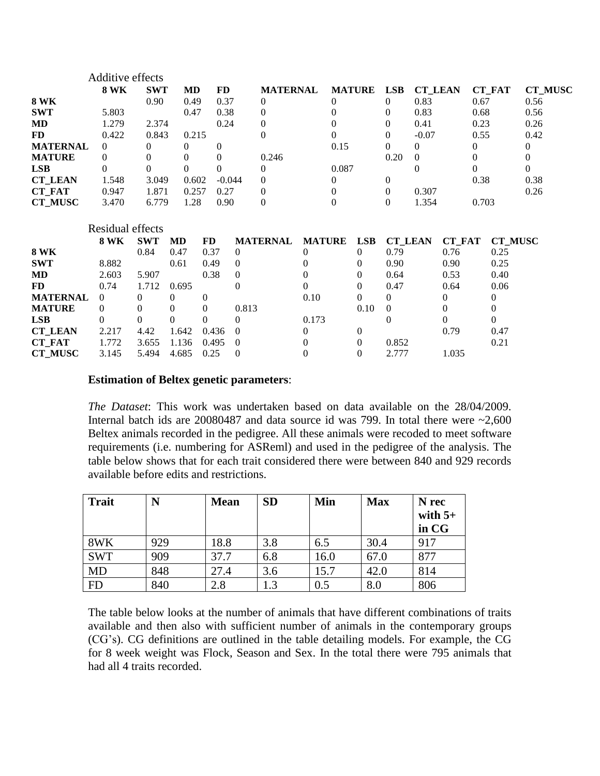|                 | Additive effects |            |          |              |          |                  |               |          |               |          |                |        |                |                |                |
|-----------------|------------------|------------|----------|--------------|----------|------------------|---------------|----------|---------------|----------|----------------|--------|----------------|----------------|----------------|
|                 | <b>8 WK</b>      | <b>SWT</b> | MD       | FD.          |          | <b>MATERNAL</b>  |               |          | <b>MATURE</b> | LSB      | <b>CT_LEAN</b> |        |                | <b>CT_FAT</b>  | <b>CT_MUSC</b> |
| <b>8 WK</b>     |                  | 0.90       | 0.49     | 0.37         |          | $\theta$         |               | $\Omega$ |               | $\theta$ | 0.83           |        | 0.67           |                | 0.56           |
| <b>SWT</b>      | 5.803            |            | 0.47     | 0.38         |          | 0                |               |          |               | $\theta$ | 0.83           |        | 0.68           |                | 0.56           |
| MD              | 1.279            | 2.374      |          | 0.24         |          | $\boldsymbol{0}$ |               |          |               | $\theta$ | 0.41           |        | 0.23           |                | 0.26           |
| FD              | 0.422            | 0.843      | 0.215    |              |          | $\theta$         |               |          |               | $\theta$ | $-0.07$        |        | 0.55           |                | 0.42           |
| <b>MATERNAL</b> | $\overline{0}$   | 0          | 0        | $\mathbf{0}$ |          |                  |               | 0.15     |               | $\Omega$ | $\overline{0}$ |        | $\overline{0}$ |                | $\Omega$       |
| <b>MATURE</b>   | 0                | 0          | 0        | 0            |          | 0.246            |               |          |               | 0.20     | $\Omega$       |        | $\Omega$       |                |                |
| <b>LSB</b>      | $\Omega$         | 0          | $\Omega$ | 0            |          | 0                |               | 0.087    |               |          | $\Omega$       |        | $\Omega$       |                |                |
| <b>CT_LEAN</b>  | 1.548            | 3.049      | 0.602    |              | $-0.044$ | $\mathbf{0}$     |               | $\Omega$ |               | $\theta$ |                |        | 0.38           |                | 0.38           |
| <b>CT_FAT</b>   | 0.947            | 1.871      | 0.257    | 0.27         |          | $\mathbf{0}$     |               | $\theta$ |               | $\Omega$ | 0.307          |        |                |                | 0.26           |
| <b>CT MUSC</b>  | 3.470            | 6.779      | 1.28     | 0.90         |          | $\mathbf{0}$     |               | $\Omega$ |               | $\Omega$ | 1.354          |        | 0.703          |                |                |
|                 | Residual effects |            |          |              |          |                  |               |          |               |          |                |        |                |                |                |
|                 | <b>8 WK</b>      | <b>SWT</b> | MD       | FD.          |          | <b>MATERNAL</b>  | <b>MATURE</b> |          | <b>LSB</b>    |          | <b>CT LEAN</b> | CT FAT |                | <b>CT_MUSC</b> |                |
| <b>8 WK</b>     |                  | 0.84       | 0.47     | 0.37         | $\theta$ |                  | $\Omega$      |          | $\Omega$      | 0.79     |                | 0.76   |                | 0.25           |                |
| <b>SWT</b>      | 8.882            |            | 0.61     | 0.49         | $\Omega$ |                  |               |          | $\Omega$      | 0.90     |                | 0.90   |                | 0.25           |                |
| MD              | 2.603            | 5.907      |          | 0.38         | 0        |                  | 0             |          | $\Omega$      | 0.64     |                | 0.53   |                | 0.40           |                |
| FD              | 0.74             | 1.712      | 0.695    |              | $\Omega$ |                  | 0             |          | $\Omega$      | 0.47     |                | 0.64   |                | 0.06           |                |
| <b>MATERNAL</b> | $\Omega$         | $\Omega$   | $\Omega$ | 0            |          |                  | 0.10          |          | $\Omega$      | $\Omega$ |                | 0      |                | $\theta$       |                |
| <b>MATURE</b>   | $\Omega$         | 0          | $\Omega$ | $\Omega$     | 0.813    |                  |               |          | 0.10          | $\theta$ |                | 0      |                | $^{(1)}$       |                |
| <b>LSB</b>      | $\theta$         | 0          | $\Omega$ | 0            | $\Omega$ |                  | 0.173         |          |               | $\theta$ |                | 0      |                | 0              |                |
| <b>CT LEAN</b>  | 2.217            | 4.42       | 1.642    | 0.436        |          |                  | $\Omega$      |          | $\Omega$      |          |                | 0.79   |                | 0.47           |                |
| <b>CT FAT</b>   |                  |            |          |              |          |                  |               |          |               |          |                |        |                |                |                |

## **Estimation of Beltex genetic parameters**:

*The Dataset*: This work was undertaken based on data available on the 28/04/2009. Internal batch ids are  $20080487$  and data source id was 799. In total there were  $\sim 2,600$ Beltex animals recorded in the pedigree. All these animals were recoded to meet software requirements (i.e. numbering for ASReml) and used in the pedigree of the analysis. The table below shows that for each trait considered there were between 840 and 929 records available before edits and restrictions.

| <b>Trait</b> | N   | <b>Mean</b> | <b>SD</b> | Min     | <b>Max</b> | N rec<br>with $5+$<br>in CG |
|--------------|-----|-------------|-----------|---------|------------|-----------------------------|
| 8WK          | 929 | 18.8        | 3.8       | 6.5     | 30.4       | 917                         |
| <b>SWT</b>   | 909 | 37.7        | 6.8       | 16.0    | 67.0       | 877                         |
| <b>MD</b>    | 848 | 27.4        | 3.6       | 15.7    | 42.0       | 814                         |
| <b>FD</b>    | 840 | 2.8         | 1.3       | $0.5\,$ | 8.0        | 806                         |

**CT\_MUSC** 3.145 5.494 4.685 0.25 0 0 0 2.777 1.035

The table below looks at the number of animals that have different combinations of traits available and then also with sufficient number of animals in the contemporary groups (CG's). CG definitions are outlined in the table detailing models. For example, the CG for 8 week weight was Flock, Season and Sex. In the total there were 795 animals that had all 4 traits recorded.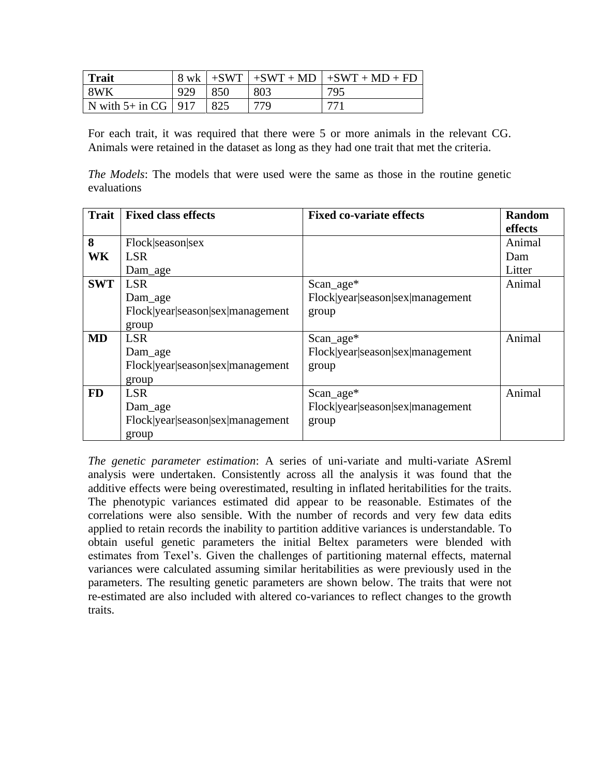| <b>Trait</b>            | 8 wk | $+SWT$ | $+SWT + MD$ | $1 + SWT + MD + FD$ |
|-------------------------|------|--------|-------------|---------------------|
| 8WK                     | 929  | 850    | 803         | 795                 |
| N with $5+$ in CG   917 |      | 825    | 779         | 771                 |

For each trait, it was required that there were 5 or more animals in the relevant CG. Animals were retained in the dataset as long as they had one trait that met the criteria.

*The Models*: The models that were used were the same as those in the routine genetic evaluations

| <b>Trait</b> | <b>Fixed class effects</b>       | <b>Fixed co-variate effects</b>  | <b>Random</b> |
|--------------|----------------------------------|----------------------------------|---------------|
|              |                                  |                                  | effects       |
| 8            | Flock season sex                 |                                  | Animal        |
| <b>WK</b>    | <b>LSR</b>                       |                                  | Dam           |
|              | Dam_age                          |                                  | Litter        |
| <b>SWT</b>   | <b>LSR</b>                       | $Scan_age*$                      | Animal        |
|              | Dam_age                          | Flock year season sex management |               |
|              | Flock year season sex management | group                            |               |
|              | group                            |                                  |               |
| <b>MD</b>    | <b>LSR</b>                       | $Scan_age*$                      | Animal        |
|              | Dam_age                          | Flock year season sex management |               |
|              | Flock year season sex management | group                            |               |
|              | group                            |                                  |               |
| <b>FD</b>    | <b>LSR</b>                       | $Scan_age*$                      | Animal        |
|              | Dam_age                          | Flock year season sex management |               |
|              | Flock year season sex management | group                            |               |
|              | group                            |                                  |               |

*The genetic parameter estimation*: A series of uni-variate and multi-variate ASreml analysis were undertaken. Consistently across all the analysis it was found that the additive effects were being overestimated, resulting in inflated heritabilities for the traits. The phenotypic variances estimated did appear to be reasonable. Estimates of the correlations were also sensible. With the number of records and very few data edits applied to retain records the inability to partition additive variances is understandable. To obtain useful genetic parameters the initial Beltex parameters were blended with estimates from Texel's. Given the challenges of partitioning maternal effects, maternal variances were calculated assuming similar heritabilities as were previously used in the parameters. The resulting genetic parameters are shown below. The traits that were not re-estimated are also included with altered co-variances to reflect changes to the growth traits.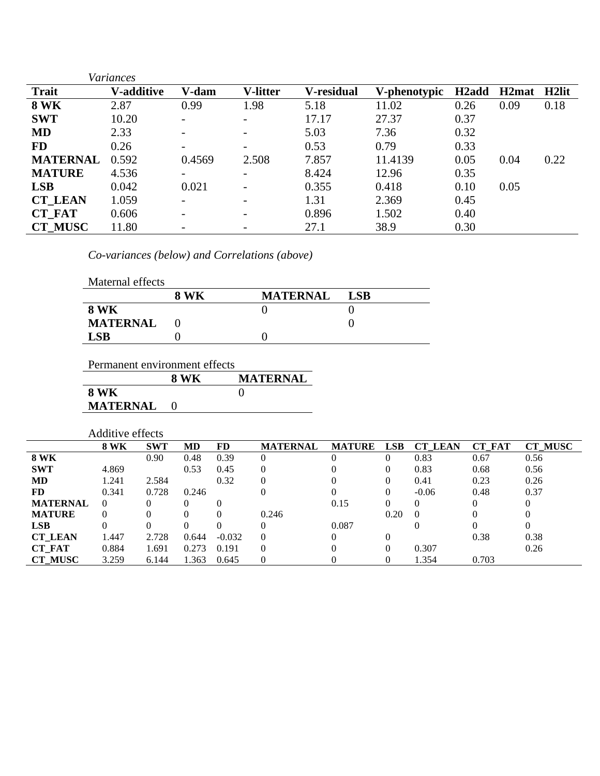|                 | <b>Variances</b>  |                          |                          |            |              |                    |                    |                   |
|-----------------|-------------------|--------------------------|--------------------------|------------|--------------|--------------------|--------------------|-------------------|
| <b>Trait</b>    | <b>V-additive</b> | V-dam                    | <b>V-litter</b>          | V-residual | V-phenotypic | H <sub>2</sub> add | H <sub>2</sub> mat | H <sub>2lit</sub> |
| <b>8 WK</b>     | 2.87              | 0.99                     | 1.98                     | 5.18       | 11.02        | 0.26               | 0.09               | 0.18              |
| <b>SWT</b>      | 10.20             |                          | $\overline{\phantom{0}}$ | 17.17      | 27.37        | 0.37               |                    |                   |
| <b>MD</b>       | 2.33              |                          | -                        | 5.03       | 7.36         | 0.32               |                    |                   |
| <b>FD</b>       | 0.26              |                          | -                        | 0.53       | 0.79         | 0.33               |                    |                   |
| <b>MATERNAL</b> | 0.592             | 0.4569                   | 2.508                    | 7.857      | 11.4139      | 0.05               | 0.04               | 0.22              |
| <b>MATURE</b>   | 4.536             |                          | $\overline{\phantom{a}}$ | 8.424      | 12.96        | 0.35               |                    |                   |
| <b>LSB</b>      | 0.042             | 0.021                    | -                        | 0.355      | 0.418        | 0.10               | 0.05               |                   |
| <b>CT LEAN</b>  | 1.059             |                          | $\overline{\phantom{0}}$ | 1.31       | 2.369        | 0.45               |                    |                   |
| <b>CT_FAT</b>   | 0.606             | $\overline{\phantom{0}}$ | -                        | 0.896      | 1.502        | 0.40               |                    |                   |
| <b>CT MUSC</b>  | 11.80             |                          |                          | 27.1       | 38.9         | 0.30               |                    |                   |

*Co-variances (below) and Correlations (above)*

| Maternal effects |      |                 |            |
|------------------|------|-----------------|------------|
|                  | 8 WK | <b>MATERNAL</b> | <b>LSB</b> |
| <b>8 WK</b>      |      |                 |            |
| <b>MATERNAL</b>  |      |                 |            |
| <b>LSB</b>       |      |                 |            |

| Permanent environment effects |      |                 |  |  |  |  |  |  |
|-------------------------------|------|-----------------|--|--|--|--|--|--|
|                               | 8 WK | <b>MATERNAL</b> |  |  |  |  |  |  |
| 8 WK                          |      |                 |  |  |  |  |  |  |
| <b>MATERNAL</b>               |      |                 |  |  |  |  |  |  |

|                 | Additive effects |            |       |           |                 |               |            |                |               |                |
|-----------------|------------------|------------|-------|-----------|-----------------|---------------|------------|----------------|---------------|----------------|
|                 | <b>8 WK</b>      | <b>SWT</b> | MD    | <b>FD</b> | <b>MATERNAL</b> | <b>MATURE</b> | <b>LSB</b> | <b>CT LEAN</b> | <b>CT FAT</b> | <b>CT MUSC</b> |
| <b>8 WK</b>     |                  | 0.90       | 0.48  | 0.39      | 0               | $\Omega$      | $\theta$   | 0.83           | 0.67          | 0.56           |
| <b>SWT</b>      | 4.869            |            | 0.53  | 0.45      | 0               |               | $\theta$   | 0.83           | 0.68          | 0.56           |
| <b>MD</b>       | 1.241            | 2.584      |       | 0.32      | 0               |               | $\theta$   | 0.41           | 0.23          | 0.26           |
| <b>FD</b>       | 0.341            | 0.728      | 0.246 |           | $\Omega$        |               | $\theta$   | $-0.06$        | 0.48          | 0.37           |
| <b>MATERNAL</b> | $\theta$         | $\Omega$   |       |           |                 | 0.15          | 0          | 0              | 0             |                |
| <b>MATURE</b>   |                  | $\Omega$   |       | 0         | 0.246           |               | 0.20       | $\Omega$       | 0             |                |
| <b>LSB</b>      |                  | $\Omega$   |       | 0         |                 | 0.087         |            |                | 0             |                |
| <b>CT LEAN</b>  | 1.447            | 2.728      | 0.644 | $-0.032$  | $\Omega$        |               | $\Omega$   |                | 0.38          | 0.38           |
| <b>CT_FAT</b>   | 0.884            | 1.691      | 0.273 | 0.191     | $\Omega$        |               | $\Omega$   | 0.307          |               | 0.26           |
| <b>CT MUSC</b>  | 3.259            | 6.144      | 1.363 | 0.645     | $\Omega$        |               | $\Omega$   | 1.354          | 0.703         |                |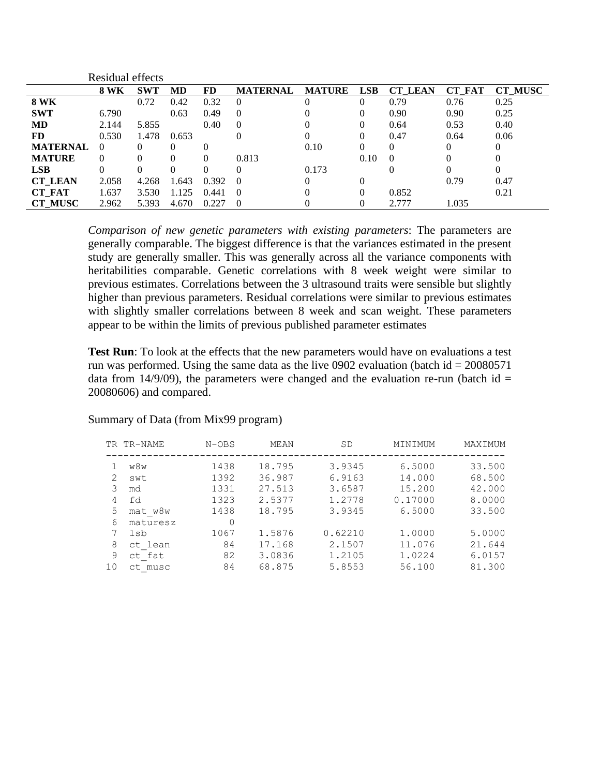|                 | Residual effects |            |           |       |                 |               |            |                |               |                |
|-----------------|------------------|------------|-----------|-------|-----------------|---------------|------------|----------------|---------------|----------------|
|                 | <b>8 WK</b>      | <b>SWT</b> | <b>MD</b> | FD    | <b>MATERNAL</b> | <b>MATURE</b> | <b>LSB</b> | <b>CT LEAN</b> | <b>CT FAT</b> | <b>CT MUSC</b> |
| <b>8 WK</b>     |                  | 0.72       | 0.42      | 0.32  | $\theta$        | 0             | $\theta$   | 0.79           | 0.76          | 0.25           |
| <b>SWT</b>      | 6.790            |            | 0.63      | 0.49  | $\theta$        | 0             | $\theta$   | 0.90           | 0.90          | 0.25           |
| <b>MD</b>       | 2.144            | 5.855      |           | 0.40  | $\overline{0}$  | 0             | $\theta$   | 0.64           | 0.53          | 0.40           |
| <b>FD</b>       | 0.530            | 1.478      | 0.653     |       | 0               | 0             | 0          | 0.47           | 0.64          | 0.06           |
| <b>MATERNAL</b> | $\Omega$         | 0          | 0         | 0     |                 | 0.10          | 0          | $\Omega$       | 0             | $\Omega$       |
| <b>MATURE</b>   | $\Omega$         | 0          | $\Omega$  | 0     | 0.813           |               | 0.10       | $\Omega$       | 0             | 0              |
| <b>LSB</b>      | 0                | 0          | 0         | 0     | $\Omega$        | 0.173         |            |                | 0             | $\Omega$       |
| <b>CT_LEAN</b>  | 2.058            | 4.268      | 1.643     | 0.392 | $\Omega$        | 0             | 0          |                | 0.79          | 0.47           |
| <b>CT FAT</b>   | 1.637            | 3.530      | 1.125     | 0.441 | $\theta$        | 0             | $\theta$   | 0.852          |               | 0.21           |
| <b>CT MUSC</b>  | 2.962            | 5.393      | 4.670     | 0.227 | $\theta$        |               |            | 2.777          | 1.035         |                |

*Comparison of new genetic parameters with existing parameters*: The parameters are generally comparable. The biggest difference is that the variances estimated in the present study are generally smaller. This was generally across all the variance components with heritabilities comparable. Genetic correlations with 8 week weight were similar to previous estimates. Correlations between the 3 ultrasound traits were sensible but slightly higher than previous parameters. Residual correlations were similar to previous estimates with slightly smaller correlations between 8 week and scan weight. These parameters appear to be within the limits of previous published parameter estimates

**Test Run**: To look at the effects that the new parameters would have on evaluations a test run was performed. Using the same data as the live 0902 evaluation (batch id  $= 20080571$ data from 14/9/09), the parameters were changed and the evaluation re-run (batch id  $=$ 20080606) and compared.

#### Summary of Data (from Mix99 program)

|    | TR TR-NAME  | $N-OBS$ | MEAN   | SD      | MINIMUM | MAXIMUM |
|----|-------------|---------|--------|---------|---------|---------|
|    | w8w         | 1438    | 18.795 | 3.9345  | 6.5000  | 33.500  |
| 2  | swt         | 1392    | 36.987 | 6.9163  | 14.000  | 68.500  |
| 3  | md          | 1331    | 27.513 | 3.6587  | 15.200  | 42.000  |
| 4  | fd          | 1323    | 2.5377 | 1.2778  | 0.17000 | 8,0000  |
| 5  | mat w8w     | 1438    | 18.795 | 3.9345  | 6.5000  | 33.500  |
| 6  | maturesz    | 0       |        |         |         |         |
| 7  | lsb         | 1067    | 1.5876 | 0.62210 | 1,0000  | 5.0000  |
| 8  | ct lean     | 84      | 17.168 | 2.1507  | 11.076  | 21.644  |
| 9  | ct fat      | 82      | 3.0836 | 1.2105  | 1.0224  | 6.0157  |
| 10 | musc<br>ct. | 84      | 68.875 | 5.8553  | 56.100  | 81.300  |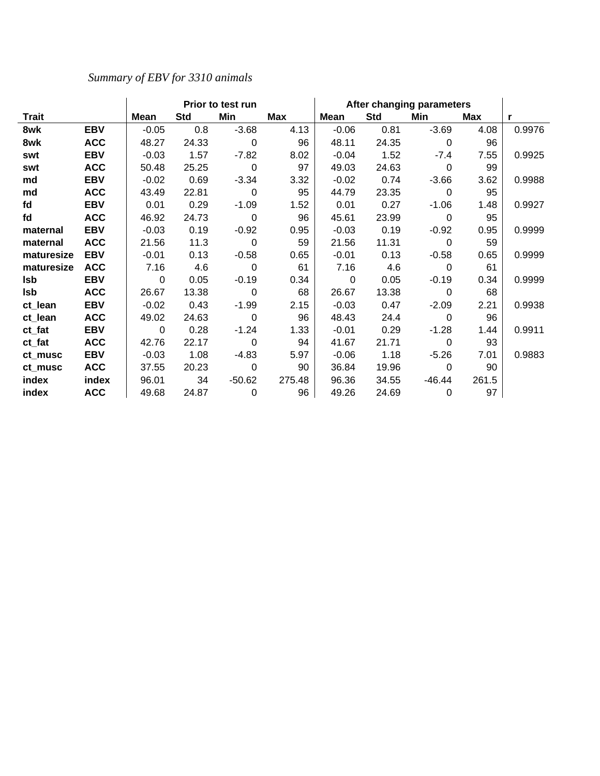# *Summary of EBV for 3310 animals*

|            |            | Prior to test run |            |                |        | After changing parameters |            |                |       |        |
|------------|------------|-------------------|------------|----------------|--------|---------------------------|------------|----------------|-------|--------|
| Trait      |            | Mean              | <b>Std</b> | Min            | Max    | <b>Mean</b>               | <b>Std</b> | Min            | Max   | r      |
| 8wk        | <b>EBV</b> | $-0.05$           | 0.8        | $-3.68$        | 4.13   | $-0.06$                   | 0.81       | $-3.69$        | 4.08  | 0.9976 |
| 8wk        | <b>ACC</b> | 48.27             | 24.33      | $\Omega$       | 96     | 48.11                     | 24.35      | $\mathbf 0$    | 96    |        |
| swt        | <b>EBV</b> | $-0.03$           | 1.57       | $-7.82$        | 8.02   | $-0.04$                   | 1.52       | -7.4           | 7.55  | 0.9925 |
| swt        | <b>ACC</b> | 50.48             | 25.25      | $\overline{0}$ | 97     | 49.03                     | 24.63      | $\overline{0}$ | 99    |        |
| md         | <b>EBV</b> | $-0.02$           | 0.69       | $-3.34$        | 3.32   | $-0.02$                   | 0.74       | $-3.66$        | 3.62  | 0.9988 |
| md         | <b>ACC</b> | 43.49             | 22.81      | $\mathbf 0$    | 95     | 44.79                     | 23.35      | $\mathbf 0$    | 95    |        |
| fd         | <b>EBV</b> | 0.01              | 0.29       | $-1.09$        | 1.52   | 0.01                      | 0.27       | $-1.06$        | 1.48  | 0.9927 |
| fd         | <b>ACC</b> | 46.92             | 24.73      | $\mathbf 0$    | 96     | 45.61                     | 23.99      | $\Omega$       | 95    |        |
| maternal   | <b>EBV</b> | $-0.03$           | 0.19       | $-0.92$        | 0.95   | $-0.03$                   | 0.19       | $-0.92$        | 0.95  | 0.9999 |
| maternal   | <b>ACC</b> | 21.56             | 11.3       | $\overline{0}$ | 59     | 21.56                     | 11.31      | 0              | 59    |        |
| maturesize | <b>EBV</b> | $-0.01$           | 0.13       | $-0.58$        | 0.65   | $-0.01$                   | 0.13       | $-0.58$        | 0.65  | 0.9999 |
| maturesize | <b>ACC</b> | 7.16              | 4.6        | $\Omega$       | 61     | 7.16                      | 4.6        | $\Omega$       | 61    |        |
| Isb        | <b>EBV</b> | $\mathbf 0$       | 0.05       | $-0.19$        | 0.34   | $\overline{0}$            | 0.05       | $-0.19$        | 0.34  | 0.9999 |
| Isb        | <b>ACC</b> | 26.67             | 13.38      | $\mathbf 0$    | 68     | 26.67                     | 13.38      | $\mathbf 0$    | 68    |        |
| ct_lean    | <b>EBV</b> | $-0.02$           | 0.43       | $-1.99$        | 2.15   | $-0.03$                   | 0.47       | $-2.09$        | 2.21  | 0.9938 |
| ct_lean    | <b>ACC</b> | 49.02             | 24.63      | $\mathbf 0$    | 96     | 48.43                     | 24.4       | 0              | 96    |        |
| ct_fat     | <b>EBV</b> | $\Omega$          | 0.28       | $-1.24$        | 1.33   | $-0.01$                   | 0.29       | $-1.28$        | 1.44  | 0.9911 |
| ct_fat     | <b>ACC</b> | 42.76             | 22.17      | 0              | 94     | 41.67                     | 21.71      | 0              | 93    |        |
| ct musc    | <b>EBV</b> | $-0.03$           | 1.08       | $-4.83$        | 5.97   | $-0.06$                   | 1.18       | $-5.26$        | 7.01  | 0.9883 |
| ct musc    | <b>ACC</b> | 37.55             | 20.23      | $\mathbf 0$    | 90     | 36.84                     | 19.96      | $\mathbf 0$    | 90    |        |
| index      | index      | 96.01             | 34         | $-50.62$       | 275.48 | 96.36                     | 34.55      | $-46.44$       | 261.5 |        |
| index      | <b>ACC</b> | 49.68             | 24.87      | $\mathbf 0$    | 96     | 49.26                     | 24.69      | $\mathbf 0$    | 97    |        |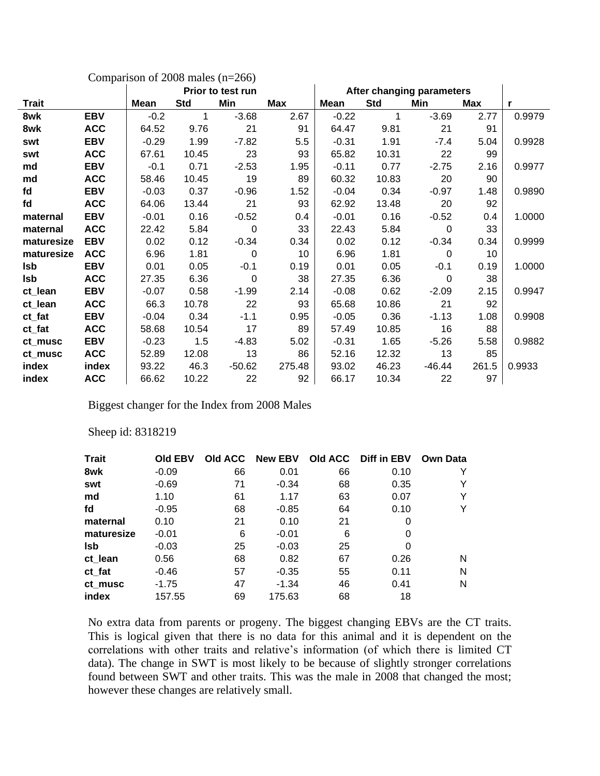| Comparison of $2008$ males (n= $266$ ) |            |                   |            |          |            |                           |            |          |       |              |
|----------------------------------------|------------|-------------------|------------|----------|------------|---------------------------|------------|----------|-------|--------------|
|                                        |            | Prior to test run |            |          |            | After changing parameters |            |          |       |              |
| Trait                                  |            | <b>Mean</b>       | <b>Std</b> | Min      | <b>Max</b> | Mean                      | <b>Std</b> | Min      | Max   | $\mathbf{r}$ |
| 8wk                                    | <b>EBV</b> | $-0.2$            | 1          | $-3.68$  | 2.67       | $-0.22$                   | 1          | $-3.69$  | 2.77  | 0.9979       |
| 8wk                                    | <b>ACC</b> | 64.52             | 9.76       | 21       | 91         | 64.47                     | 9.81       | 21       | 91    |              |
| swt                                    | <b>EBV</b> | $-0.29$           | 1.99       | $-7.82$  | 5.5        | $-0.31$                   | 1.91       | $-7.4$   | 5.04  | 0.9928       |
| swt                                    | <b>ACC</b> | 67.61             | 10.45      | 23       | 93         | 65.82                     | 10.31      | 22       | 99    |              |
| md                                     | <b>EBV</b> | $-0.1$            | 0.71       | $-2.53$  | 1.95       | $-0.11$                   | 0.77       | $-2.75$  | 2.16  | 0.9977       |
| md                                     | <b>ACC</b> | 58.46             | 10.45      | 19       | 89         | 60.32                     | 10.83      | 20       | 90    |              |
| fd                                     | <b>EBV</b> | $-0.03$           | 0.37       | $-0.96$  | 1.52       | $-0.04$                   | 0.34       | $-0.97$  | 1.48  | 0.9890       |
| fd                                     | <b>ACC</b> | 64.06             | 13.44      | 21       | 93         | 62.92                     | 13.48      | 20       | 92    |              |
| maternal                               | <b>EBV</b> | $-0.01$           | 0.16       | $-0.52$  | 0.4        | $-0.01$                   | 0.16       | $-0.52$  | 0.4   | 1.0000       |
| maternal                               | <b>ACC</b> | 22.42             | 5.84       | 0        | 33         | 22.43                     | 5.84       | 0        | 33    |              |
| maturesize                             | <b>EBV</b> | 0.02              | 0.12       | $-0.34$  | 0.34       | 0.02                      | 0.12       | $-0.34$  | 0.34  | 0.9999       |
| maturesize                             | <b>ACC</b> | 6.96              | 1.81       | 0        | 10         | 6.96                      | 1.81       | $\Omega$ | 10    |              |
| Isb                                    | <b>EBV</b> | 0.01              | 0.05       | $-0.1$   | 0.19       | 0.01                      | 0.05       | $-0.1$   | 0.19  | 1.0000       |
| <b>Isb</b>                             | <b>ACC</b> | 27.35             | 6.36       | 0        | 38         | 27.35                     | 6.36       | $\Omega$ | 38    |              |
| ct_lean                                | <b>EBV</b> | $-0.07$           | 0.58       | $-1.99$  | 2.14       | $-0.08$                   | 0.62       | $-2.09$  | 2.15  | 0.9947       |
| ct_lean                                | <b>ACC</b> | 66.3              | 10.78      | 22       | 93         | 65.68                     | 10.86      | 21       | 92    |              |
| ct_fat                                 | <b>EBV</b> | $-0.04$           | 0.34       | $-1.1$   | 0.95       | $-0.05$                   | 0.36       | $-1.13$  | 1.08  | 0.9908       |
| ct_fat                                 | <b>ACC</b> | 58.68             | 10.54      | 17       | 89         | 57.49                     | 10.85      | 16       | 88    |              |
| ct musc                                | <b>EBV</b> | $-0.23$           | 1.5        | $-4.83$  | 5.02       | $-0.31$                   | 1.65       | $-5.26$  | 5.58  | 0.9882       |
| ct_musc                                | <b>ACC</b> | 52.89             | 12.08      | 13       | 86         | 52.16                     | 12.32      | 13       | 85    |              |
| index                                  | index      | 93.22             | 46.3       | $-50.62$ | 275.48     | 93.02                     | 46.23      | $-46.44$ | 261.5 | 0.9933       |
| index                                  | <b>ACC</b> | 66.62             | 10.22      | 22       | 92         | 66.17                     | 10.34      | 22       | 97    |              |

Biggest changer for the Index from 2008 Males

Sheep id: 8318219

| <b>Trait</b> | <b>Old EBV</b> | Old ACC | <b>New EBV</b> |    | Old ACC Diff in EBV | <b>Own Data</b> |
|--------------|----------------|---------|----------------|----|---------------------|-----------------|
| 8wk          | $-0.09$        | 66      | 0.01           | 66 | 0.10                |                 |
| swt          | $-0.69$        | 71      | $-0.34$        | 68 | 0.35                |                 |
| md           | 1.10           | 61      | 1.17           | 63 | 0.07                |                 |
| fd           | $-0.95$        | 68      | $-0.85$        | 64 | 0.10                |                 |
| maternal     | 0.10           | 21      | 0.10           | 21 | 0                   |                 |
| maturesize   | $-0.01$        | 6       | $-0.01$        | 6  | 0                   |                 |
| Isb          | $-0.03$        | 25      | $-0.03$        | 25 | 0                   |                 |
| ct_lean      | 0.56           | 68      | 0.82           | 67 | 0.26                | N               |
| ct_fat       | $-0.46$        | 57      | $-0.35$        | 55 | 0.11                | N               |
| ct musc      | $-1.75$        | 47      | $-1.34$        | 46 | 0.41                | N               |
| index        | 157.55         | 69      | 175.63         | 68 | 18                  |                 |

No extra data from parents or progeny. The biggest changing EBVs are the CT traits. This is logical given that there is no data for this animal and it is dependent on the correlations with other traits and relative's information (of which there is limited CT data). The change in SWT is most likely to be because of slightly stronger correlations found between SWT and other traits. This was the male in 2008 that changed the most; however these changes are relatively small.